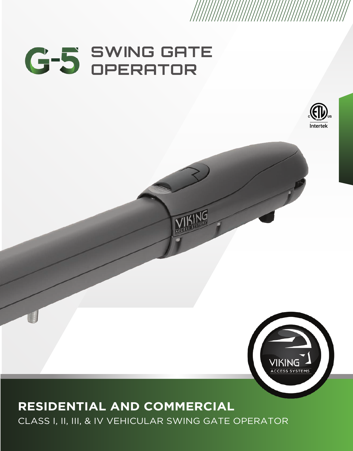# **SWING GATE OPERATOR**

# **RESIDENTIAL AND COMMERCIAL**

CLASS I, II, III, & IV VEHICULAR SWING GATE OPERATOR